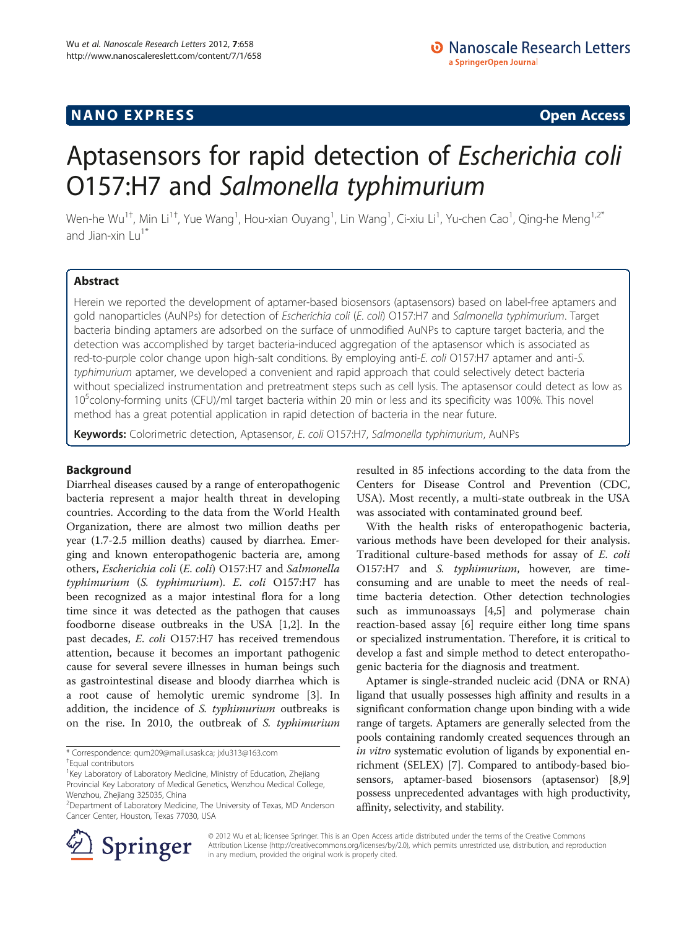# **NANO EXPRESS** Open Access **CONTROL**

# Aptasensors for rapid detection of Escherichia coli O157:H7 and Salmonella typhimurium

Wen-he Wu $^{1\dagger}$ , Min Li $^{1\dagger}$ , Yue Wang $^1$ , Hou-xian Ouyang $^1$ , Lin Wang $^1$ , Ci-xiu Li $^1$ , Yu-chen Cao $^1$ , Qing-he Meng $^{1,2^*}$ and Jian-xin Lu<sup>1\*</sup>

# Abstract

Herein we reported the development of aptamer-based biosensors (aptasensors) based on label-free aptamers and gold nanoparticles (AuNPs) for detection of Escherichia coli (E. coli) O157:H7 and Salmonella typhimurium. Target bacteria binding aptamers are adsorbed on the surface of unmodified AuNPs to capture target bacteria, and the detection was accomplished by target bacteria-induced aggregation of the aptasensor which is associated as red-to-purple color change upon high-salt conditions. By employing anti-E. coli O157:H7 aptamer and anti-S. typhimurium aptamer, we developed a convenient and rapid approach that could selectively detect bacteria without specialized instrumentation and pretreatment steps such as cell lysis. The aptasensor could detect as low as 10<sup>5</sup>colony-forming units (CFU)/ml target bacteria within 20 min or less and its specificity was 100%. This novel method has a great potential application in rapid detection of bacteria in the near future.

Keywords: Colorimetric detection, Aptasensor, E. coli O157:H7, Salmonella typhimurium, AuNPs

## Background

Diarrheal diseases caused by a range of enteropathogenic bacteria represent a major health threat in developing countries. According to the data from the World Health Organization, there are almost two million deaths per year (1.7-2.5 million deaths) caused by diarrhea. Emerging and known enteropathogenic bacteria are, among others, Escherichia coli (E. coli) O157:H7 and Salmonella typhimurium (S. typhimurium). E. coli O157:H7 has been recognized as a major intestinal flora for a long time since it was detected as the pathogen that causes foodborne disease outbreaks in the USA [\[1,2](#page-5-0)]. In the past decades, E. coli O157:H7 has received tremendous attention, because it becomes an important pathogenic cause for several severe illnesses in human beings such as gastrointestinal disease and bloody diarrhea which is a root cause of hemolytic uremic syndrome [\[3](#page-5-0)]. In addition, the incidence of S. typhimurium outbreaks is on the rise. In 2010, the outbreak of S. typhimurium

\* Correspondence: [qum209@mail.usask.ca](mailto:qum209@mail.usask.ca); [jxlu313@163.com](mailto:jxlu313@163.com) †



With the health risks of enteropathogenic bacteria, various methods have been developed for their analysis. Traditional culture-based methods for assay of E. coli O157:H7 and S. typhimurium, however, are timeconsuming and are unable to meet the needs of realtime bacteria detection. Other detection technologies such as immunoassays [\[4,5](#page-5-0)] and polymerase chain reaction-based assay [\[6](#page-5-0)] require either long time spans or specialized instrumentation. Therefore, it is critical to develop a fast and simple method to detect enteropathogenic bacteria for the diagnosis and treatment.

Aptamer is single-stranded nucleic acid (DNA or RNA) ligand that usually possesses high affinity and results in a significant conformation change upon binding with a wide range of targets. Aptamers are generally selected from the pools containing randomly created sequences through an in vitro systematic evolution of ligands by exponential enrichment (SELEX) [\[7\]](#page-5-0). Compared to antibody-based biosensors, aptamer-based biosensors (aptasensor) [[8,9](#page-5-0)] possess unprecedented advantages with high productivity, affinity, selectivity, and stability.



© 2012 Wu et al.; licensee Springer. This is an Open Access article distributed under the terms of the Creative Commons Attribution License [\(http://creativecommons.org/licenses/by/2.0\)](http://creativecommons.org/licenses/by/2.0), which permits unrestricted use, distribution, and reproduction in any medium, provided the original work is properly cited.

Equal contributors

<sup>&</sup>lt;sup>1</sup> Key Laboratory of Laboratory Medicine, Ministry of Education, Zhejiang Provincial Key Laboratory of Medical Genetics, Wenzhou Medical College, Wenzhou, Zhejiang 325035, China

<sup>2</sup> Department of Laboratory Medicine, The University of Texas, MD Anderson Cancer Center, Houston, Texas 77030, USA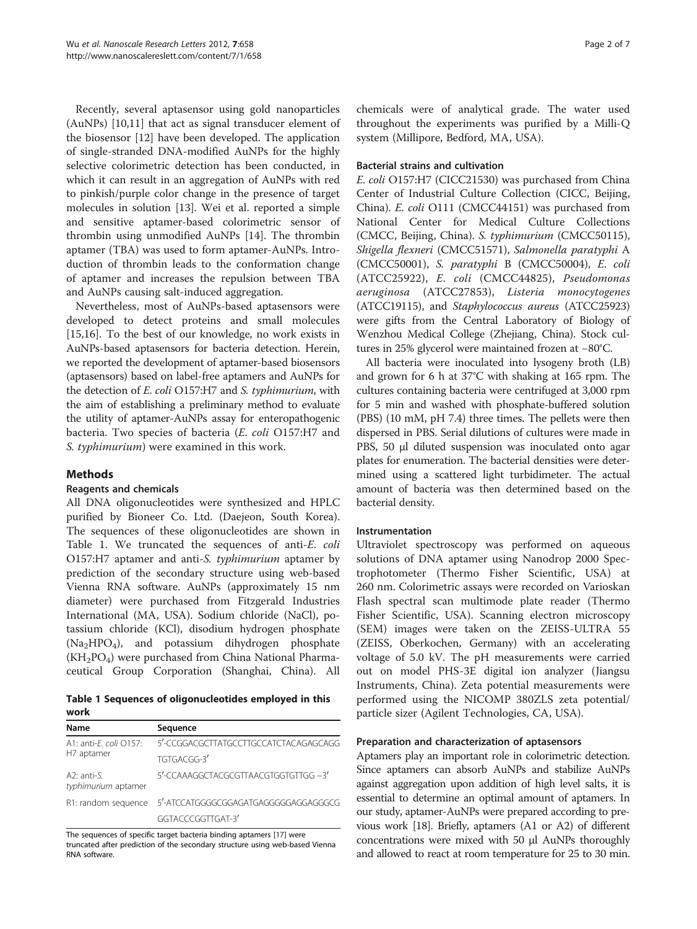Recently, several aptasensor using gold nanoparticles (AuNPs) [\[10,11](#page-5-0)] that act as signal transducer element of the biosensor [\[12](#page-5-0)] have been developed. The application of single-stranded DNA-modified AuNPs for the highly selective colorimetric detection has been conducted, in which it can result in an aggregation of AuNPs with red to pinkish/purple color change in the presence of target molecules in solution [\[13\]](#page-5-0). Wei et al. reported a simple and sensitive aptamer-based colorimetric sensor of thrombin using unmodified AuNPs [\[14](#page-5-0)]. The thrombin aptamer (TBA) was used to form aptamer-AuNPs. Introduction of thrombin leads to the conformation change of aptamer and increases the repulsion between TBA and AuNPs causing salt-induced aggregation.

Nevertheless, most of AuNPs-based aptasensors were developed to detect proteins and small molecules [[15,16\]](#page-5-0). To the best of our knowledge, no work exists in AuNPs-based aptasensors for bacteria detection. Herein, we reported the development of aptamer-based biosensors (aptasensors) based on label-free aptamers and AuNPs for the detection of E. coli O157:H7 and S. typhimurium, with the aim of establishing a preliminary method to evaluate the utility of aptamer-AuNPs assay for enteropathogenic bacteria. Two species of bacteria (E. coli O157:H7 and S. typhimurium) were examined in this work.

# Methods

#### Reagents and chemicals

All DNA oligonucleotides were synthesized and HPLC purified by Bioneer Co. Ltd. (Daejeon, South Korea). The sequences of these oligonucleotides are shown in Table 1. We truncated the sequences of anti-E. coli O157:H7 aptamer and anti-S. typhimurium aptamer by prediction of the secondary structure using web-based Vienna RNA software. AuNPs (approximately 15 nm diameter) were purchased from Fitzgerald Industries International (MA, USA). Sodium chloride (NaCl), potassium chloride (KCl), disodium hydrogen phosphate  $(Na<sub>2</sub>HPO<sub>4</sub>)$ , and potassium dihydrogen phosphate  $(KH_2PO_4)$  were purchased from China National Pharmaceutical Group Corporation (Shanghai, China). All

Table 1 Sequences of oligonucleotides employed in this work

| Name                                         | Sequence                                                 |
|----------------------------------------------|----------------------------------------------------------|
| A1: anti- <i>F. coli</i> Q157:<br>H7 aptamer | 5'-CCGGACGCTTATGCCTTGCCATCTACAGAGCAGG                    |
|                                              | TGTGACGG-3'                                              |
| $A2:$ anti-S.<br>typhimurium aptamer         | 5'-CCAAAGGCTACGCGTTAACGTGGTGTTGG -3'                     |
|                                              | R1: random sequence 5'-ATCCATGGGGCGGAGATGAGGGGGAGGAGGGCG |
|                                              | GGTACCCGGTTGAT-3'                                        |

The sequences of specific target bacteria binding aptamers [[17\]](#page-5-0) were truncated after prediction of the secondary structure using web-based Vienna RNA software.

chemicals were of analytical grade. The water used throughout the experiments was purified by a Milli-Q system (Millipore, Bedford, MA, USA).

#### Bacterial strains and cultivation

E. coli O157:H7 (CICC21530) was purchased from China Center of Industrial Culture Collection (CICC, Beijing, China). E. coli O111 (CMCC44151) was purchased from National Center for Medical Culture Collections (CMCC, Beijing, China). S. typhimurium (CMCC50115), Shigella flexneri (CMCC51571), Salmonella paratyphi A (CMCC50001), S. paratyphi B (CMCC50004), E. coli (ATCC25922), E. coli (CMCC44825), Pseudomonas aeruginosa (ATCC27853), Listeria monocytogenes (ATCC19115), and Staphylococcus aureus (ATCC25923) were gifts from the Central Laboratory of Biology of Wenzhou Medical College (Zhejiang, China). Stock cultures in 25% glycerol were maintained frozen at −80°C.

All bacteria were inoculated into lysogeny broth (LB) and grown for 6 h at 37°C with shaking at 165 rpm. The cultures containing bacteria were centrifuged at 3,000 rpm for 5 min and washed with phosphate-buffered solution (PBS) (10 mM, pH 7.4) three times. The pellets were then dispersed in PBS. Serial dilutions of cultures were made in PBS, 50 μl diluted suspension was inoculated onto agar plates for enumeration. The bacterial densities were determined using a scattered light turbidimeter. The actual amount of bacteria was then determined based on the bacterial density.

#### Instrumentation

Ultraviolet spectroscopy was performed on aqueous solutions of DNA aptamer using Nanodrop 2000 Spectrophotometer (Thermo Fisher Scientific, USA) at 260 nm. Colorimetric assays were recorded on Varioskan Flash spectral scan multimode plate reader (Thermo Fisher Scientific, USA). Scanning electron microscopy (SEM) images were taken on the ZEISS-ULTRA 55 (ZEISS, Oberkochen, Germany) with an accelerating voltage of 5.0 kV. The pH measurements were carried out on model PHS-3E digital ion analyzer (Jiangsu Instruments, China). Zeta potential measurements were performed using the NICOMP 380ZLS zeta potential/ particle sizer (Agilent Technologies, CA, USA).

#### Preparation and characterization of aptasensors

Aptamers play an important role in colorimetric detection. Since aptamers can absorb AuNPs and stabilize AuNPs against aggregation upon addition of high level salts, it is essential to determine an optimal amount of aptamers. In our study, aptamer-AuNPs were prepared according to previous work [[18](#page-5-0)]. Briefly, aptamers (A1 or A2) of different concentrations were mixed with 50 μl AuNPs thoroughly and allowed to react at room temperature for 25 to 30 min.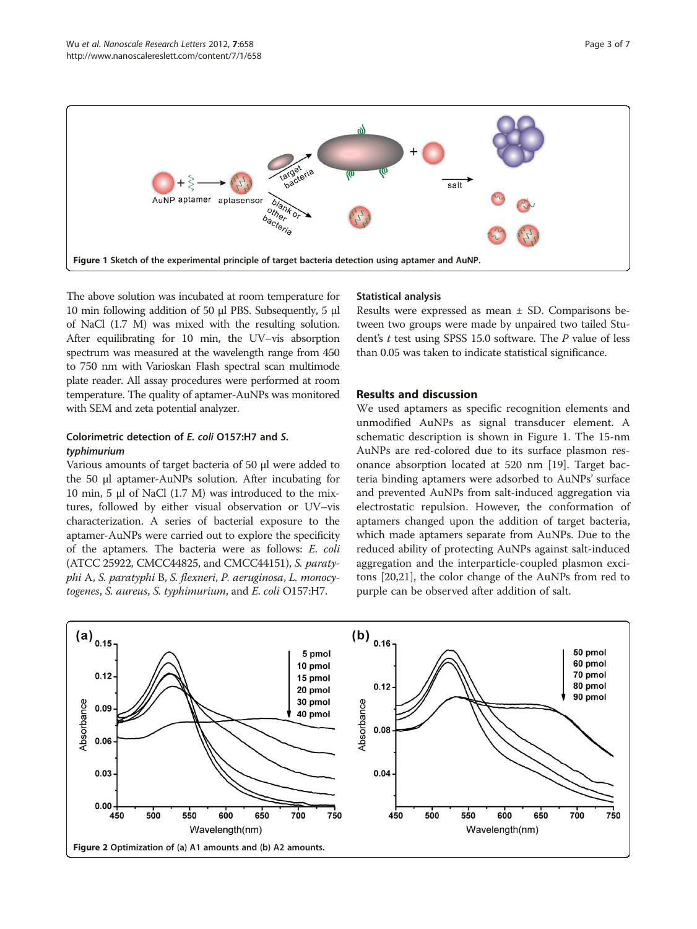<span id="page-2-0"></span>

The above solution was incubated at room temperature for 10 min following addition of 50 μl PBS. Subsequently, 5 μl of NaCl (1.7 M) was mixed with the resulting solution. After equilibrating for 10 min, the UV–vis absorption spectrum was measured at the wavelength range from 450 to 750 nm with Varioskan Flash spectral scan multimode plate reader. All assay procedures were performed at room temperature. The quality of aptamer-AuNPs was monitored with SEM and zeta potential analyzer.

# Colorimetric detection of E. coli O157:H7 and S. typhimurium

Various amounts of target bacteria of 50 μl were added to the 50 μl aptamer-AuNPs solution. After incubating for 10 min, 5 μl of NaCl (1.7 M) was introduced to the mixtures, followed by either visual observation or UV–vis characterization. A series of bacterial exposure to the aptamer-AuNPs were carried out to explore the specificity of the aptamers. The bacteria were as follows: E. coli (ATCC 25922, CMCC44825, and CMCC44151), S. paratyphi A, S. paratyphi B, S. flexneri, P. aeruginosa, L. monocytogenes, S. aureus, S. typhimurium, and E. coli O157:H7.

#### Statistical analysis

Results were expressed as mean ± SD. Comparisons between two groups were made by unpaired two tailed Student's  $t$  test using SPSS 15.0 software. The  $P$  value of less than 0.05 was taken to indicate statistical significance.

#### Results and discussion

We used aptamers as specific recognition elements and unmodified AuNPs as signal transducer element. A schematic description is shown in Figure 1. The 15-nm AuNPs are red-colored due to its surface plasmon resonance absorption located at 520 nm [[19](#page-5-0)]. Target bacteria binding aptamers were adsorbed to AuNPs' surface and prevented AuNPs from salt-induced aggregation via electrostatic repulsion. However, the conformation of aptamers changed upon the addition of target bacteria, which made aptamers separate from AuNPs. Due to the reduced ability of protecting AuNPs against salt-induced aggregation and the interparticle-coupled plasmon excitons [[20](#page-5-0),[21](#page-5-0)], the color change of the AuNPs from red to purple can be observed after addition of salt.

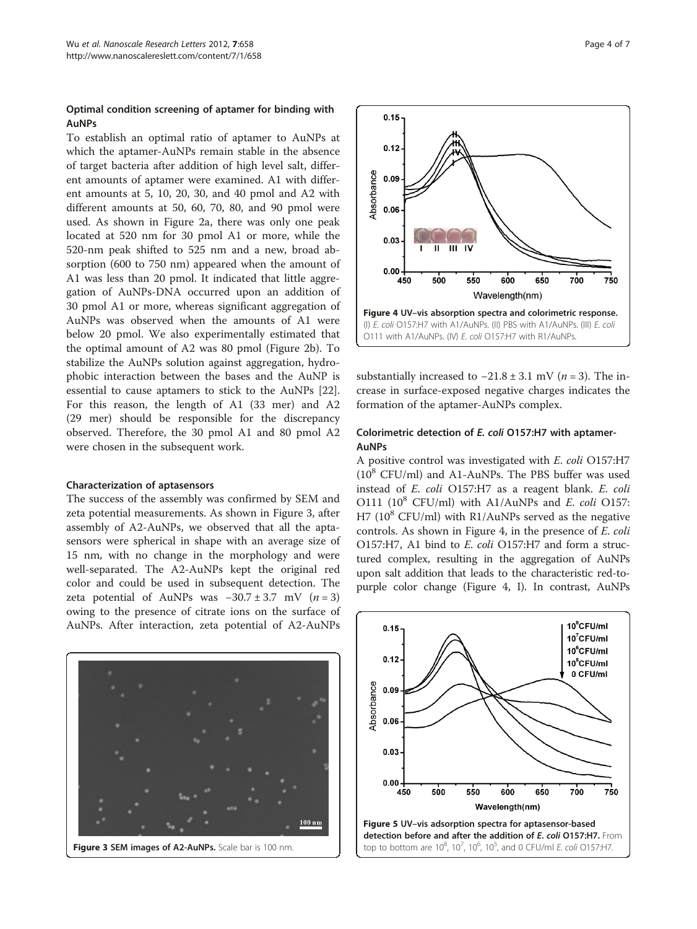#### <span id="page-3-0"></span>Optimal condition screening of aptamer for binding with AuNPs

To establish an optimal ratio of aptamer to AuNPs at which the aptamer-AuNPs remain stable in the absence of target bacteria after addition of high level salt, different amounts of aptamer were examined. A1 with different amounts at 5, 10, 20, 30, and 40 pmol and A2 with different amounts at 50, 60, 70, 80, and 90 pmol were used. As shown in Figure [2a](#page-2-0), there was only one peak located at 520 nm for 30 pmol A1 or more, while the 520-nm peak shifted to 525 nm and a new, broad absorption (600 to 750 nm) appeared when the amount of A1 was less than 20 pmol. It indicated that little aggregation of AuNPs-DNA occurred upon an addition of 30 pmol A1 or more, whereas significant aggregation of AuNPs was observed when the amounts of A1 were below 20 pmol. We also experimentally estimated that the optimal amount of A2 was 80 pmol (Figure [2b\)](#page-2-0). To stabilize the AuNPs solution against aggregation, hydrophobic interaction between the bases and the AuNP is essential to cause aptamers to stick to the AuNPs [\[22](#page-5-0)]. For this reason, the length of A1 (33 mer) and A2 (29 mer) should be responsible for the discrepancy observed. Therefore, the 30 pmol A1 and 80 pmol A2 were chosen in the subsequent work.

#### Characterization of aptasensors

The success of the assembly was confirmed by SEM and zeta potential measurements. As shown in Figure 3, after assembly of A2-AuNPs, we observed that all the aptasensors were spherical in shape with an average size of 15 nm, with no change in the morphology and were well-separated. The A2-AuNPs kept the original red color and could be used in subsequent detection. The zeta potential of AuNPs was  $-30.7 \pm 3.7$  mV (n = 3) owing to the presence of citrate ions on the surface of AuNPs. After interaction, zeta potential of A2-AuNPs





substantially increased to  $-21.8 \pm 3.1$  mV (*n* = 3). The increase in surface-exposed negative charges indicates the formation of the aptamer-AuNPs complex.

## Colorimetric detection of E. coli O157:H7 with aptamer-AuNPs

A positive control was investigated with E. coli O157:H7  $(10^8$  CFU/ml) and A1-AuNPs. The PBS buffer was used instead of E. coli O157:H7 as a reagent blank. E. coli O111 ( $10^8$  CFU/ml) with A1/AuNPs and E. coli O157: H7 ( $10^8$  CFU/ml) with R1/AuNPs served as the negative controls. As shown in Figure 4, in the presence of E. coli O157:H7, A1 bind to E. coli O157:H7 and form a structured complex, resulting in the aggregation of AuNPs upon salt addition that leads to the characteristic red-topurple color change (Figure 4, I). In contrast, AuNPs

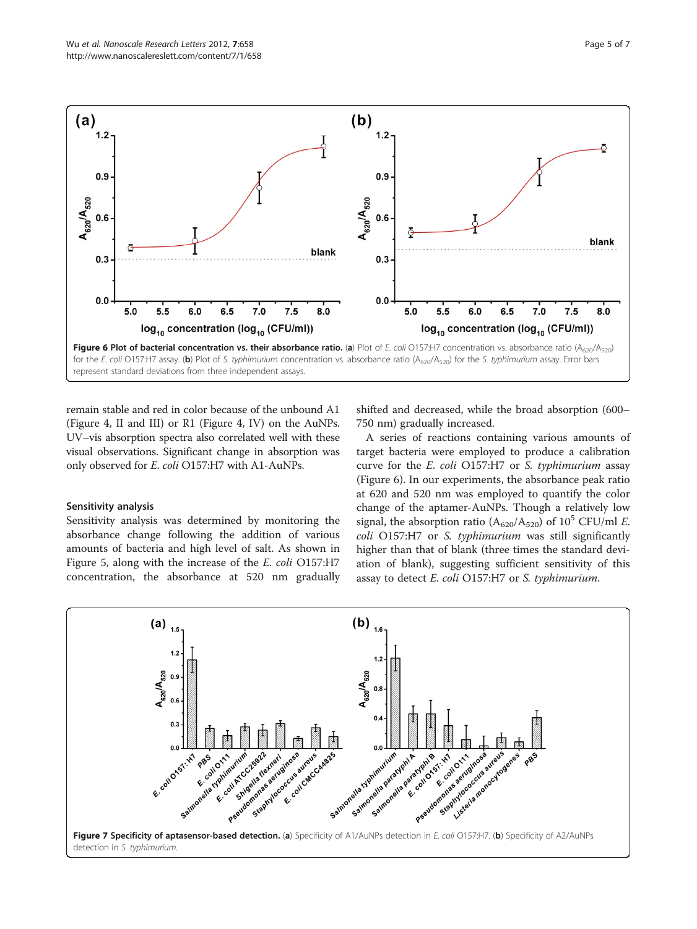<span id="page-4-0"></span>

remain stable and red in color because of the unbound A1 (Figure [4](#page-3-0), II and III) or R1 (Figure [4](#page-3-0), IV) on the AuNPs. UV–vis absorption spectra also correlated well with these visual observations. Significant change in absorption was only observed for E. coli O157:H7 with A1-AuNPs.

#### Sensitivity analysis

Sensitivity analysis was determined by monitoring the absorbance change following the addition of various amounts of bacteria and high level of salt. As shown in Figure [5,](#page-3-0) along with the increase of the E. coli O157:H7 concentration, the absorbance at 520 nm gradually

shifted and decreased, while the broad absorption (600– 750 nm) gradually increased.

A series of reactions containing various amounts of target bacteria were employed to produce a calibration curve for the E. coli O157:H7 or S. typhimurium assay (Figure 6). In our experiments, the absorbance peak ratio at 620 and 520 nm was employed to quantify the color change of the aptamer-AuNPs. Though a relatively low signal, the absorption ratio ( $A_{620}/A_{520}$ ) of 10<sup>5</sup> CFU/ml E. coli O157:H7 or S. typhimurium was still significantly higher than that of blank (three times the standard deviation of blank), suggesting sufficient sensitivity of this assay to detect E. coli O157:H7 or S. typhimurium.

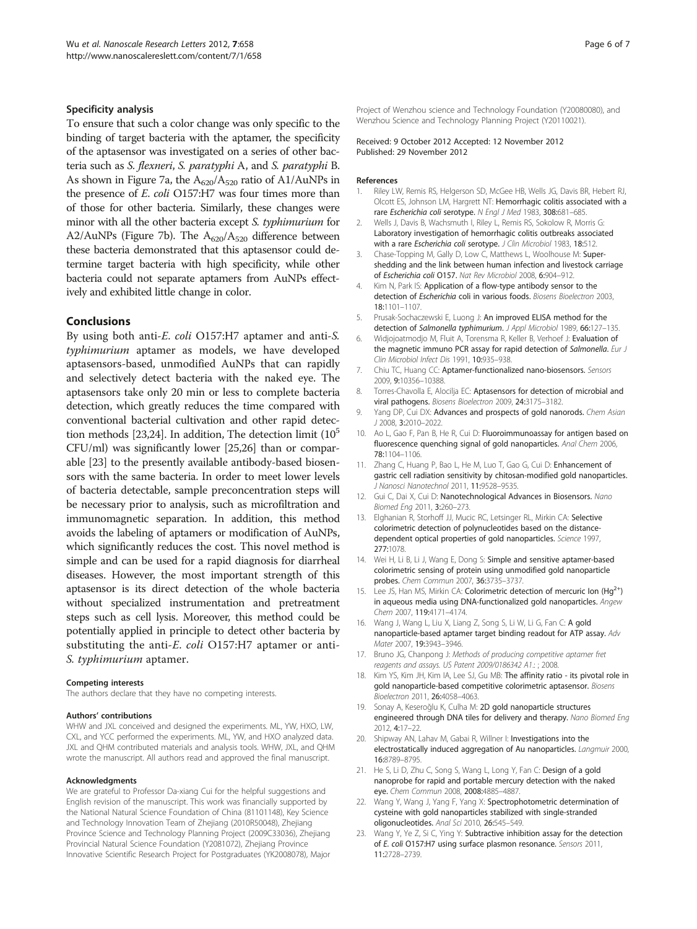#### <span id="page-5-0"></span>Specificity analysis

To ensure that such a color change was only specific to the binding of target bacteria with the aptamer, the specificity of the aptasensor was investigated on a series of other bacteria such as S. flexneri, S. paratyphi A, and S. paratyphi B. As shown in Figure [7a](#page-4-0), the  $A_{620}/A_{520}$  ratio of A1/AuNPs in the presence of E. coli O157:H7 was four times more than of those for other bacteria. Similarly, these changes were minor with all the other bacteria except S. typhimurium for A2/AuNPs (Figure [7b\)](#page-4-0). The  $A_{620}/A_{520}$  difference between these bacteria demonstrated that this aptasensor could determine target bacteria with high specificity, while other bacteria could not separate aptamers from AuNPs effectively and exhibited little change in color.

#### Conclusions

By using both anti-E. coli O157:H7 aptamer and anti-S. typhimurium aptamer as models, we have developed aptasensors-based, unmodified AuNPs that can rapidly and selectively detect bacteria with the naked eye. The aptasensors take only 20 min or less to complete bacteria detection, which greatly reduces the time compared with conventional bacterial cultivation and other rapid detec-tion methods [23,[24](#page-6-0)]. In addition, The detection limit  $(10^5$ CFU/ml) was significantly lower [[25,26](#page-6-0)] than or comparable [23] to the presently available antibody-based biosensors with the same bacteria. In order to meet lower levels of bacteria detectable, sample preconcentration steps will be necessary prior to analysis, such as microfiltration and immunomagnetic separation. In addition, this method avoids the labeling of aptamers or modification of AuNPs, which significantly reduces the cost. This novel method is simple and can be used for a rapid diagnosis for diarrheal diseases. However, the most important strength of this aptasensor is its direct detection of the whole bacteria without specialized instrumentation and pretreatment steps such as cell lysis. Moreover, this method could be potentially applied in principle to detect other bacteria by substituting the anti-E. coli O157:H7 aptamer or anti-S. typhimurium aptamer.

#### Competing interests

The authors declare that they have no competing interests.

#### Authors' contributions

WHW and JXL conceived and designed the experiments. ML, YW, HXO, LW, CXL, and YCC performed the experiments. ML, YW, and HXO analyzed data. JXL and QHM contributed materials and analysis tools. WHW, JXL, and QHM wrote the manuscript. All authors read and approved the final manuscript.

#### Acknowledgments

We are grateful to Professor Da-xiang Cui for the helpful suggestions and English revision of the manuscript. This work was financially supported by the National Natural Science Foundation of China (81101148), Key Science and Technology Innovation Team of Zhejiang (2010R50048), Zhejiang Province Science and Technology Planning Project (2009C33036), Zhejiang Provincial Natural Science Foundation (Y2081072), Zhejiang Province Innovative Scientific Research Project for Postgraduates (YK2008078), Major

Project of Wenzhou science and Technology Foundation (Y20080080), and Wenzhou Science and Technology Planning Project (Y20110021).

#### Received: 9 October 2012 Accepted: 12 November 2012 Published: 29 November 2012

#### References

- 1. Riley LW, Remis RS, Helgerson SD, McGee HB, Wells JG, Davis BR, Hebert RJ, Olcott ES, Johnson LM, Hargrett NT: Hemorrhagic colitis associated with a rare Escherichia coli serotype. N Engl J Med 1983, 308:681–685.
- 2. Wells J, Davis B, Wachsmuth I, Riley L, Remis RS, Sokolow R, Morris G: Laboratory investigation of hemorrhagic colitis outbreaks associated with a rare Escherichia coli serotype. J Clin Microbiol 1983, 18:512.
- Chase-Topping M, Gally D, Low C, Matthews L, Woolhouse M: Supershedding and the link between human infection and livestock carriage of Escherichia coli O157. Nat Rev Microbiol 2008, 6:904–912.
- 4. Kim N, Park IS: Application of a flow-type antibody sensor to the detection of Escherichia coli in various foods. Biosens Bioelectron 2003, 18:1101–1107.
- 5. Prusak-Sochaczewski E, Luong J: An improved ELISA method for the detection of Salmonella typhimurium. J Appl Microbiol 1989, 66:127-135.
- 6. Widjojoatmodjo M, Fluit A, Torensma R, Keller B, Verhoef J: Evaluation of the magnetic immuno PCR assay for rapid detection of Salmonella. Eur J Clin Microbiol Infect Dis 1991, 10:935–938.
- 7. Chiu TC, Huang CC: Aptamer-functionalized nano-biosensors. Sensors 2009, 9:10356–10388.
- 8. Torres-Chavolla E, Alocilia EC: Aptasensors for detection of microbial and viral pathogens. Biosens Bioelectron 2009, 24:3175–3182.
- Yang DP, Cui DX: Advances and prospects of gold nanorods. Chem Asian J 2008, 3:2010–2022.
- 10. Ao L, Gao F, Pan B, He R, Cui D: Fluoroimmunoassay for antigen based on fluorescence quenching signal of gold nanoparticles. Anal Chem 2006, 78:1104–1106.
- 11. Zhang C, Huang P, Bao L, He M, Luo T, Gao G, Cui D: Enhancement of gastric cell radiation sensitivity by chitosan-modified gold nanoparticles. J Nanosci Nanotechnol 2011, 11:9528–9535.
- 12. Gui C, Dai X, Cui D: Nanotechnological Advances in Biosensors. Nano Biomed Eng 2011, 3:260–273.
- 13. Elghanian R, Storhoff JJ, Mucic RC, Letsinger RL, Mirkin CA: Selective colorimetric detection of polynucleotides based on the distancedependent optical properties of gold nanoparticles. Science 1997, 277:1078.
- 14. Wei H, Li B, Li J, Wang E, Dong S: Simple and sensitive aptamer-based colorimetric sensing of protein using unmodified gold nanoparticle probes. Chem Commun 2007, 36:3735–3737.
- 15. Lee JS, Han MS, Mirkin CA: Colorimetric detection of mercuric Ion (Hg<sup>2+</sup>) in aqueous media using DNA-functionalized gold nanoparticles. Angew Chem 2007, 119:4171–4174.
- 16. Wang J, Wang L, Liu X, Liang Z, Song S, Li W, Li G, Fan C: A gold nanoparticle-based aptamer target binding readout for ATP assay. Adv Mater 2007, 19:3943–3946.
- 17. Bruno JG, Chanpong J: Methods of producing competitive aptamer fret reagents and assays. US Patent 2009/0186342 A1.: ; 2008.
- 18. Kim YS, Kim JH, Kim IA, Lee SJ, Gu MB: The affinity ratio its pivotal role in gold nanoparticle-based competitive colorimetric aptasensor. Biosens Bioelectron 2011, 26:4058–4063.
- 19. Sonay A, Keseroğlu K, Culha M: 2D gold nanoparticle structures engineered through DNA tiles for delivery and therapy. Nano Biomed Eng 2012, 4:17–22.
- 20. Shipway AN, Lahav M, Gabai R, Willner I: Investigations into the electrostatically induced aggregation of Au nanoparticles. Langmuir 2000, 16:8789–8795.
- 21. He S, Li D, Zhu C, Song S, Wang L, Long Y, Fan C: Design of a gold nanoprobe for rapid and portable mercury detection with the naked eye. Chem Commun 2008, 2008:4885-4887
- 22. Wang Y, Wang J, Yang F, Yang X: Spectrophotometric determination of cysteine with gold nanoparticles stabilized with single-stranded oligonucleotides. Anal Sci 2010, 26:545–549.
- 23. Wang Y, Ye Z, Si C, Ying Y: Subtractive inhibition assay for the detection of E. coli O157:H7 using surface plasmon resonance. Sensors 2011, 11:2728–2739.